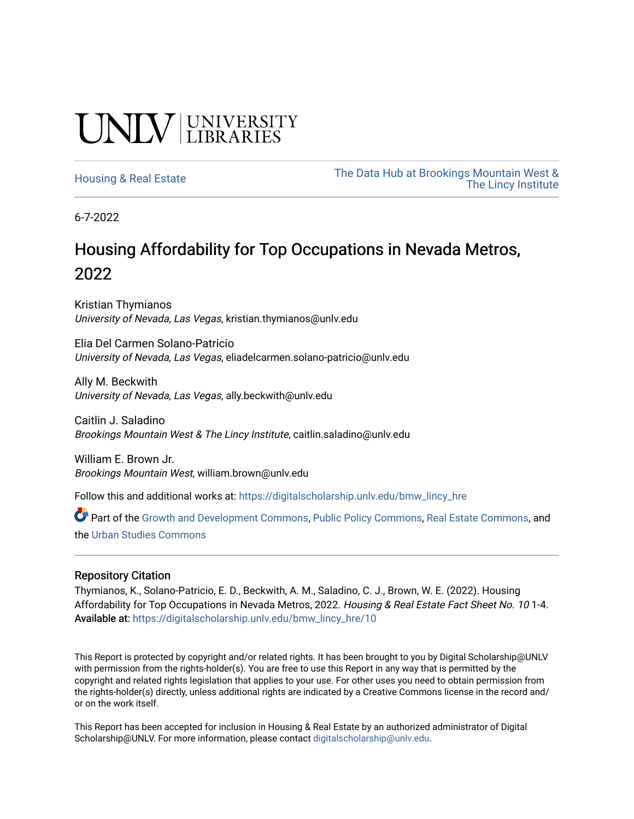## **CINITY** UNIVERSITY

[Housing & Real Estate](https://digitalscholarship.unlv.edu/bmw_lincy_hre) The Data Hub at Brookings Mountain West & [The Lincy Institute](https://digitalscholarship.unlv.edu/bmw_lincy_datahub) 

6-7-2022

### Housing Affordability for Top Occupations in Nevada Metros, 2022

Kristian Thymianos University of Nevada, Las Vegas, kristian.thymianos@unlv.edu

Elia Del Carmen Solano-Patricio University of Nevada, Las Vegas, eliadelcarmen.solano-patricio@unlv.edu

Ally M. Beckwith University of Nevada, Las Vegas, ally.beckwith@unlv.edu

Caitlin J. Saladino Brookings Mountain West & The Lincy Institute, caitlin.saladino@unlv.edu

William E. Brown Jr. Brookings Mountain West, william.brown@unlv.edu

Follow this and additional works at: [https://digitalscholarship.unlv.edu/bmw\\_lincy\\_hre](https://digitalscholarship.unlv.edu/bmw_lincy_hre?utm_source=digitalscholarship.unlv.edu%2Fbmw_lincy_hre%2F10&utm_medium=PDF&utm_campaign=PDFCoverPages)

Part of the [Growth and Development Commons,](https://network.bepress.com/hgg/discipline/346?utm_source=digitalscholarship.unlv.edu%2Fbmw_lincy_hre%2F10&utm_medium=PDF&utm_campaign=PDFCoverPages) [Public Policy Commons,](https://network.bepress.com/hgg/discipline/400?utm_source=digitalscholarship.unlv.edu%2Fbmw_lincy_hre%2F10&utm_medium=PDF&utm_campaign=PDFCoverPages) [Real Estate Commons,](https://network.bepress.com/hgg/discipline/641?utm_source=digitalscholarship.unlv.edu%2Fbmw_lincy_hre%2F10&utm_medium=PDF&utm_campaign=PDFCoverPages) and the [Urban Studies Commons](https://network.bepress.com/hgg/discipline/402?utm_source=digitalscholarship.unlv.edu%2Fbmw_lincy_hre%2F10&utm_medium=PDF&utm_campaign=PDFCoverPages)

### Repository Citation

Thymianos, K., Solano-Patricio, E. D., Beckwith, A. M., Saladino, C. J., Brown, W. E. (2022). Housing Affordability for Top Occupations in Nevada Metros, 2022. Housing & Real Estate Fact Sheet No. 10 1-4. Available at: [https://digitalscholarship.unlv.edu/bmw\\_lincy\\_hre/10](https://digitalscholarship.unlv.edu/bmw_lincy_hre/10) 

This Report is protected by copyright and/or related rights. It has been brought to you by Digital Scholarship@UNLV with permission from the rights-holder(s). You are free to use this Report in any way that is permitted by the copyright and related rights legislation that applies to your use. For other uses you need to obtain permission from the rights-holder(s) directly, unless additional rights are indicated by a Creative Commons license in the record and/ or on the work itself.

This Report has been accepted for inclusion in Housing & Real Estate by an authorized administrator of Digital Scholarship@UNLV. For more information, please contact [digitalscholarship@unlv.edu.](mailto:digitalscholarship@unlv.edu)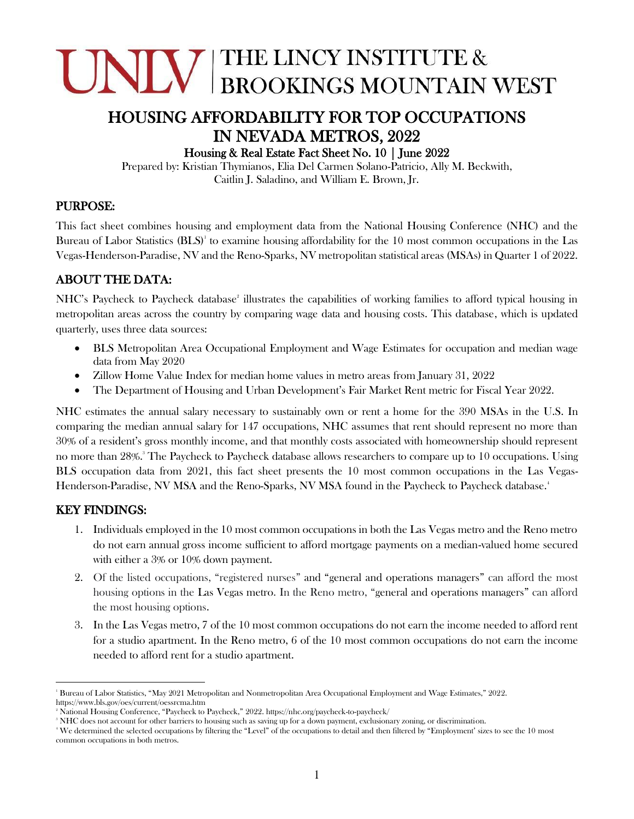# **CINITY BROOKINGS MOUNTAIN WEST**

### HOUSING AFFORDABILITY FOR TOP OCCUPATIONS IN NEVADA METROS, 2022

#### Housing & Real Estate Fact Sheet No. 10 | June 2022

Prepared by: Kristian Thymianos, Elia Del Carmen Solano-Patricio, Ally M. Beckwith, Caitlin J. Saladino, and William E. Brown, Jr.

### PURPOSE:

This fact sheet combines housing and employment data from the National Housing Conference (NHC) and the Bureau of Labor Statistics  $(BLS)^{1}$  to examine housing affordability for the 10 most common occupations in the Las Vegas-Henderson-Paradise, NV and the Reno-Sparks, NV metropolitan statistical areas (MSAs) in Quarter 1 of 2022.

### ABOUT THE DATA:

NHC's Paycheck to Paycheck database<sup>2</sup> illustrates the capabilities of working families to afford typical housing in metropolitan areas across the country by comparing wage data and housing costs. This database, which is updated quarterly, uses three data sources:

- BLS Metropolitan Area Occupational Employment and Wage Estimates for occupation and median wage data from May 2020
- Zillow Home Value Index for median home values in metro areas from January 31, 2022
- The Department of Housing and Urban Development's Fair Market Rent metric for Fiscal Year 2022.

NHC estimates the annual salary necessary to sustainably own or rent a home for the 390 MSAs in the U.S. In comparing the median annual salary for 147 occupations, NHC assumes that rent should represent no more than 30% of a resident's gross monthly income, and that monthly costs associated with homeownership should represent no more than 28%.<sup>3</sup> The Paycheck to Paycheck database allows researchers to compare up to 10 occupations. Using BLS occupation data from 2021, this fact sheet presents the 10 most common occupations in the Las Vegas-Henderson-Paradise, NV MSA and the Reno-Sparks, NV MSA found in the Paycheck to Paycheck database. 4

### KEY FINDINGS:

- 1. Individuals employed in the 10 most common occupations in both the Las Vegas metro and the Reno metro do not earn annual gross income sufficient to afford mortgage payments on a median-valued home secured with either a 3% or 10% down payment.
- 2. Of the listed occupations, "registered nurses" and "general and operations managers" can afford the most housing options in the Las Vegas metro. In the Reno metro, "general and operations managers" can afford the most housing options.
- 3. In the Las Vegas metro, 7 of the 10 most common occupations do not earn the income needed to afford rent for a studio apartment. In the Reno metro, 6 of the 10 most common occupations do not earn the income needed to afford rent for a studio apartment.

<sup>1</sup> Bureau of Labor Statistics, "May 2021 Metropolitan and Nonmetropolitan Area Occupational Employment and Wage Estimates," 2022. https://www.bls.gov/oes/current/oessrcma.htm

<sup>&</sup>lt;sup>2</sup> National Housing Conference, "Paycheck to Paycheck," 2022. https://nhc.org/paycheck-to-paycheck/

<sup>&</sup>lt;sup>3</sup> NHC does not account for other barriers to housing such as saving up for a down payment, exclusionary zoning, or discrimination.

<sup>4</sup> We determined the selected occupations by filtering the "Level" of the occupations to detail and then filtered by "Employment' sizes to see the 10 most common occupations in both metros.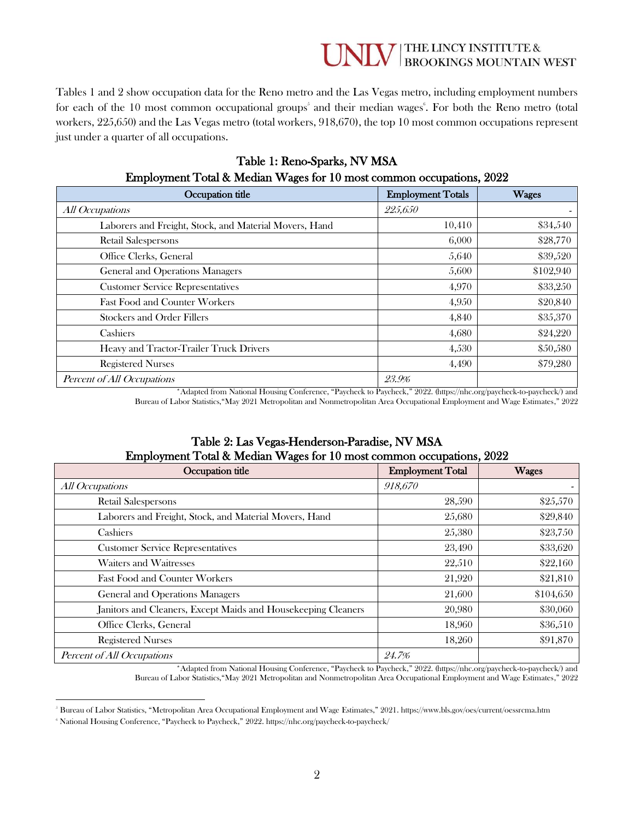### **WE THE LINCY INSTITUTE &**<br>BROOKINGS MOUNTAIN WEST

Tables 1 and 2 show occupation data for the Reno metro and the Las Vegas metro, including employment numbers for each of the 10 most common occupational groups<sup>5</sup> and their median wages<sup>6</sup>. For both the Reno metro (total workers, 225,650) and the Las Vegas metro (total workers, 918,670), the top 10 most common occupations represent just under a quarter of all occupations.

| Occupation title                                       | <b>Employment Totals</b> | <b>Wages</b> |
|--------------------------------------------------------|--------------------------|--------------|
| All Occupations                                        | 225,650                  |              |
| Laborers and Freight, Stock, and Material Movers, Hand | 10,410                   | \$34,540     |
| <b>Retail Salespersons</b>                             | 6,000                    | \$28,770     |
| Office Clerks, General                                 | 5,640                    | \$39,520     |
| General and Operations Managers                        | 5,600                    | \$102,940    |
| <b>Customer Service Representatives</b>                | 4,970                    | \$33,250     |
| <b>Fast Food and Counter Workers</b>                   | 4,950                    | \$20,840     |
| <b>Stockers and Order Fillers</b>                      | 4,840                    | \$35,370     |
| Cashiers                                               | 4,680                    | \$24,220     |
| Heavy and Tractor-Trailer Truck Drivers                | 4,530                    | \$50,580     |
| <b>Registered Nurses</b>                               | 4,490                    | \$79,280     |
| Percent of All Occupations                             | 23.9%                    |              |

### Table 1: Reno-Sparks, NV MSA<br>Median Wages for 10 most common compations, 9099  $E_{\text{mnlormont}}$  Total & Median Wages for  $10$  most com

\*Adapted from National Housing Conference, "Paycheck to Paycheck," 2022. (https://nhc.org/paycheck-to-paycheck/) and Bureau of Labor Statistics,"May 2021 Metropolitan and Nonmetropolitan Area Occupational Employment and Wage Estimates," 2022

### Table 2: Las Vegas-Henderson-Paradise, NV MSA Employment Total & Median Wages for 10 most common occupations, 2022

| Occupation title                                              | <b>Employment Total</b> | <b>Wages</b> |
|---------------------------------------------------------------|-------------------------|--------------|
| All Occupations                                               | 918.670                 |              |
| <b>Retail Salespersons</b>                                    | 28,590                  | \$25,570     |
| Laborers and Freight, Stock, and Material Movers, Hand        | 25,680                  | \$29,840     |
| Cashiers                                                      | 25,380                  | \$23,750     |
| <b>Customer Service Representatives</b>                       | 23,490                  | \$33,620     |
| Waiters and Waitresses                                        | 22,510                  | \$22,160     |
| <b>Fast Food and Counter Workers</b>                          | 21,920                  | \$21,810     |
| General and Operations Managers                               | 21,600                  | \$104,650    |
| Janitors and Cleaners, Except Maids and Housekeeping Cleaners | 20,980                  | \$30,060     |
| Office Clerks, General                                        | 18,960                  | \$36,510     |
| <b>Registered Nurses</b>                                      | 18,260                  | \$91,870     |
| Percent of All Occupations                                    | 24.7%                   |              |

\*Adapted from National Housing Conference, "Paycheck to Paycheck," 2022. (https://nhc.org/paycheck-to-paycheck/) and Bureau of Labor Statistics,"May 2021 Metropolitan and Nonmetropolitan Area Occupational Employment and Wage Estimates," 2022

<sup>5</sup> Bureau of Labor Statistics, "Metropolitan Area Occupational Employment and Wage Estimates," 2021. https://www.bls.gov/oes/current/oessrcma.htm

<sup>&</sup>lt;sup>6</sup> National Housing Conference, "Paycheck to Paycheck," 2022. https://nhc.org/paycheck-to-paycheck/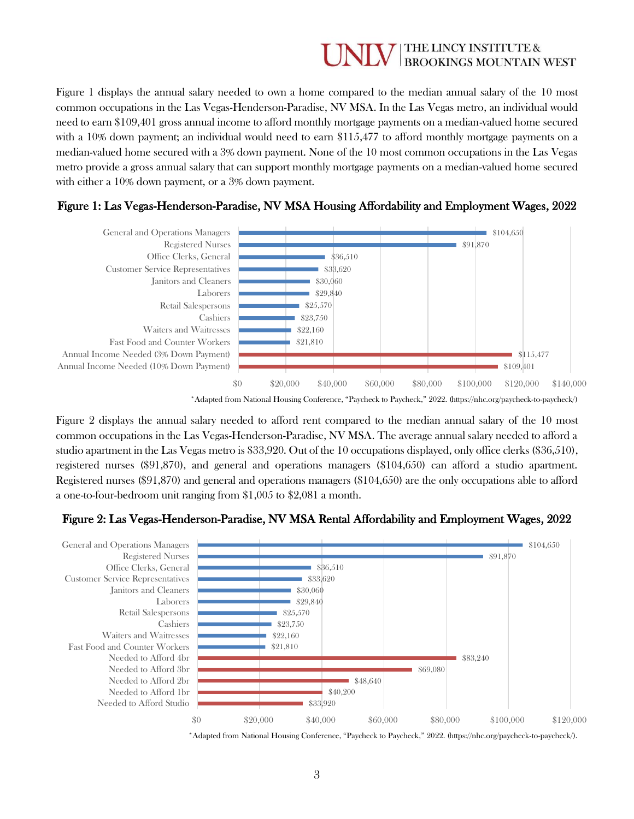### THE LINCY INSTITUTE & **BROOKINGS MOUNTAIN WEST**

Figure 1 displays the annual salary needed to own a home compared to the median annual salary of the 10 most common occupations in the Las Vegas-Henderson-Paradise, NV MSA. In the Las Vegas metro, an individual would need to earn \$109,401 gross annual income to afford monthly mortgage payments on a median-valued home secured with a 10% down payment; an individual would need to earn \$115,477 to afford monthly mortgage payments on a median-valued home secured with a 3% down payment. None of the 10 most common occupations in the Las Vegas metro provide a gross annual salary that can support monthly mortgage payments on a median-valued home secured with either a 10% down payment, or a 3% down payment.



### Figure 1: Las Vegas-Henderson-Paradise, NV MSA Housing Affordability and Employment Wages, 2022

\*Adapted from National Housing Conference, "Paycheck to Paycheck," 2022. (https://nhc.org/paycheck-to-paycheck/)

Figure 2 displays the annual salary needed to afford rent compared to the median annual salary of the 10 most common occupations in the Las Vegas-Henderson-Paradise, NV MSA. The average annual salary needed to afford a studio apartment in the Las Vegas metro is \$33,920. Out of the 10 occupations displayed, only office clerks (\$36,510), registered nurses (\$91,870), and general and operations managers (\$104,650) can afford a studio apartment. Registered nurses (\$91,870) and general and operations managers (\$104,650) are the only occupations able to afford a one-to-four-bedroom unit ranging from \$1,005 to \$2,081 a month.

### Figure 2: Las Vegas-Henderson-Paradise, NV MSA Rental Affordability and Employment Wages, 2022